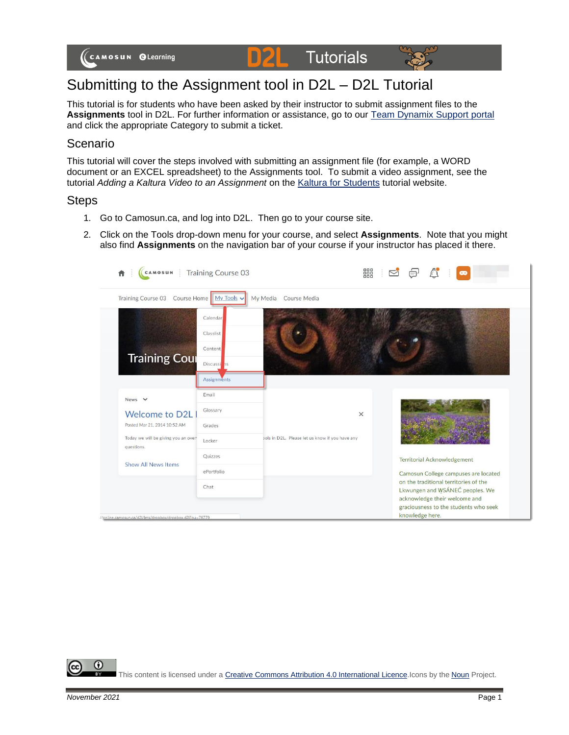**Tutorials** DZL.



# Submitting to the Assignment tool in D2L – D2L Tutorial

This tutorial is for students who have been asked by their instructor to submit assignment files to the **Assignments** tool in D2L. For further information or assistance, go to our [Team Dynamix Support portal](https://camosun.teamdynamix.com/TDClient/67/Portal/Requests/ServiceCatalog?CategoryID=524) and click the appropriate Category to submit a ticket.

### Scenario

This tutorial will cover the steps involved with submitting an assignment file (for example, a WORD document or an EXCEL spreadsheet) to the Assignments tool. To submit a video assignment, see the tutorial *Adding a Kaltura Video to an Assignment* on the [Kaltura for Students](https://elearningtutorialscamosun.opened.ca/kaltura-tutorials/kaltura-for-students/) tutorial website.

#### **Steps**

- 1. Go to Camosun.ca, and log into D2L. Then go to your course site.
- 2. Click on the Tools drop-down menu for your course, and select **Assignments**. Note that you might also find **Assignments** on the navigation bar of your course if your instructor has placed it there.



⋒ This content is licensed under [a Creative Commons Attribution 4.0 International Licence.I](https://creativecommons.org/licenses/by/4.0/)cons by the [Noun](https://creativecommons.org/website-icons/) Project.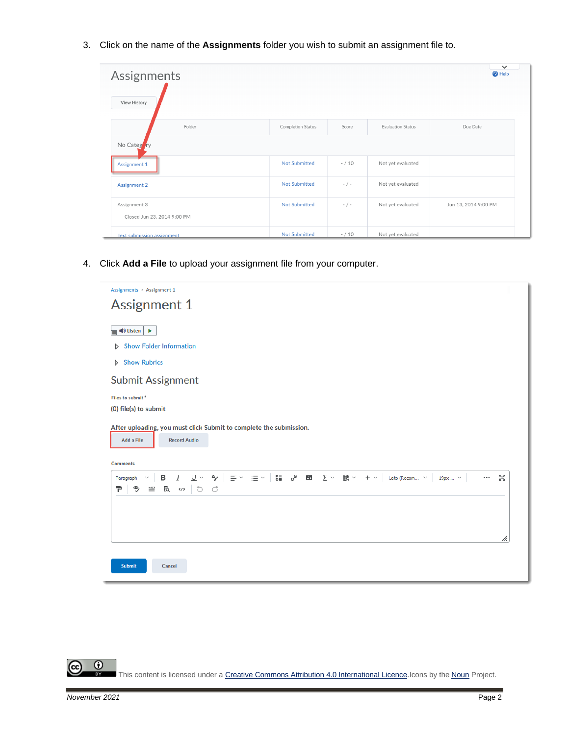3. Click on the name of the **Assignments** folder you wish to submit an assignment file to.

| Assignments                                 |                          |           |                          | $\checkmark$<br><sup>O</sup> Help |  |
|---------------------------------------------|--------------------------|-----------|--------------------------|-----------------------------------|--|
| View History                                |                          |           |                          |                                   |  |
| Folder                                      | <b>Completion Status</b> | Score     | <b>Evaluation Status</b> | Due Date                          |  |
| No Category                                 |                          |           |                          |                                   |  |
| Assignment 1                                | <b>Not Submitted</b>     | $- / 10$  | Not yet evaluated        |                                   |  |
| <b>Assignment 2</b>                         | <b>Not Submitted</b>     | $- / -$   | Not yet evaluated        |                                   |  |
| Assignment 3<br>Closed Jun 23, 2014 9:00 PM | <b>Not Submitted</b>     | $-$ / $-$ | Not yet evaluated        | Jun 13, 2014 9:00 PM              |  |
| Text submission assignment                  | <b>Not Submitted</b>     | $- / 10$  | Not yet evaluated        |                                   |  |

4. Click **Add a File** to upload your assignment file from your computer.



 $_{\odot}$ This content is licensed under [a Creative Commons Attribution 4.0 International Licence.I](https://creativecommons.org/licenses/by/4.0/)cons by the [Noun](https://creativecommons.org/website-icons/) Project.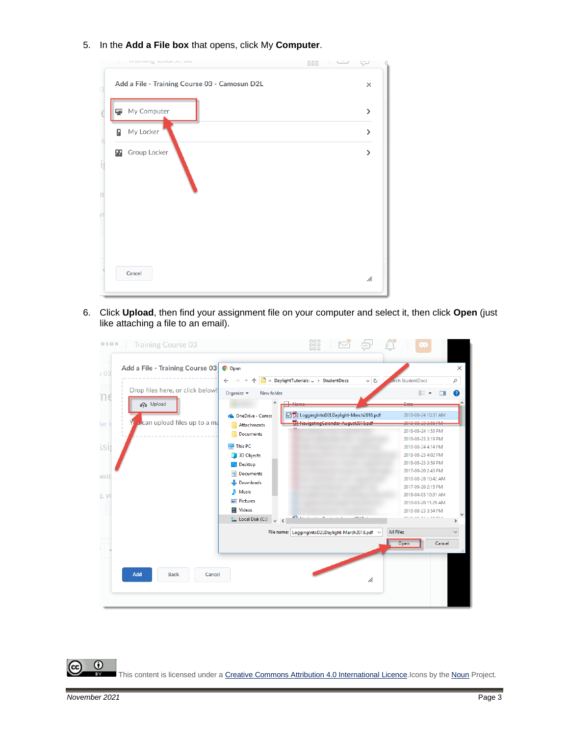5. In the **Add a File box** that opens, click My **Computer**.

| $\sim$ | <b>Thumming</b> would be on<br><b>ööö</b>     | لہا                    |
|--------|-----------------------------------------------|------------------------|
|        | Add a File - Training Course 03 - Camosun D2L | $\times$               |
|        | My Computer                                   | $\mathbf{\mathcal{P}}$ |
| Я      | My Locker                                     | $\mathbf{\mathbf{z}}$  |
|        | <b>B</b> Group Locker                         | >                      |
|        |                                               |                        |
|        |                                               |                        |
|        |                                               |                        |
|        |                                               |                        |
|        |                                               |                        |
|        | Cancel                                        | h.                     |
|        |                                               |                        |

6. Click **Upload**, then find your assignment file on your computer and select it, then click **Open** (just like attaching a file to an email).

| OSUN  | <b>Training Course 03</b>            |                                         | 88                                                     | لرض |                                          |              |              |
|-------|--------------------------------------|-----------------------------------------|--------------------------------------------------------|-----|------------------------------------------|--------------|--------------|
| .03   | Add a File - Training Course 03      | <b>O</b> Open                           |                                                        |     |                                          |              | $\times$     |
|       |                                      |                                         | « DaylightTutorials- > StudentDocs                     | ৵ ত | parch StudentDocs                        |              | مر           |
|       | Drop files here, or click below!     | Organize v<br>New folder                |                                                        |     | EE T                                     | m            | 0            |
| ηe    | <b>P</b> Upload                      | ٨<br>╒                                  |                                                        |     | $n - 1$                                  |              |              |
|       |                                      | ConeDrive - Camo:                       | DE LoggingIntoD2LDaylight-March2018.pdf                |     | 2018-08-24 10:31 AM                      |              |              |
| ler I | <b>A</b> can upload files up to a ma | Attachments                             | <sup>54</sup> Navigating Calendar August 2018 pdf      |     | 3010.00.33.3.55.084                      |              |              |
|       |                                      | <b>Documents</b>                        |                                                        |     | 2018-08-24 1:53 PM                       |              |              |
|       |                                      |                                         |                                                        |     | 2018-08-23 3:19 PM                       |              |              |
| 5Sİ   |                                      | $\Box$ This PC                          |                                                        |     | 2018-08-24 4:14 PM<br>2018-08-23 4:02 PM |              |              |
|       |                                      | 3D Objects                              |                                                        |     | 2018-08-23 3:59 PM                       |              |              |
|       |                                      | <b>Desktop</b><br>闓<br><b>Documents</b> |                                                        |     | 2017-09-20 2:43 PM                       |              |              |
| ,mit  |                                      | Downloads                               |                                                        |     | 2018-08-28 10:42 AM                      |              |              |
|       |                                      | Music<br>n.                             |                                                        |     | 2017-09-20 2:15 PM                       |              |              |
| g, yo |                                      | <b>Pictures</b><br>로                    |                                                        |     | 2018-04-03 10:31 AM                      |              |              |
|       |                                      | <b>Videos</b><br>厬                      |                                                        |     | 2018-03-20 11:29 AM                      |              |              |
|       |                                      | <sup>12</sup> , Local Disk (C:)         | and a st                                               |     | 2018-08-23 3:54 PM                       | <b>COMMA</b> |              |
|       |                                      | $\vee$ <                                |                                                        |     |                                          |              |              |
|       |                                      |                                         | File name: LoggingIntoD2LDaylight-March2018.pdf $\sim$ |     | <b>All Files</b>                         |              | $\checkmark$ |
|       |                                      |                                         |                                                        |     | Open                                     | Cancel       |              |
|       |                                      |                                         |                                                        |     |                                          |              |              |
|       |                                      |                                         |                                                        |     |                                          |              |              |
|       | Add<br><b>Back</b><br>Cancel         |                                         |                                                        |     |                                          |              |              |
|       |                                      |                                         |                                                        | /ı. |                                          |              |              |
|       |                                      |                                         |                                                        |     |                                          |              |              |
|       |                                      |                                         |                                                        |     |                                          |              |              |

 $\overline{\odot}$ (cc This content is licensed under [a Creative Commons Attribution 4.0 International Licence.I](https://creativecommons.org/licenses/by/4.0/)cons by the [Noun](https://creativecommons.org/website-icons/) Project.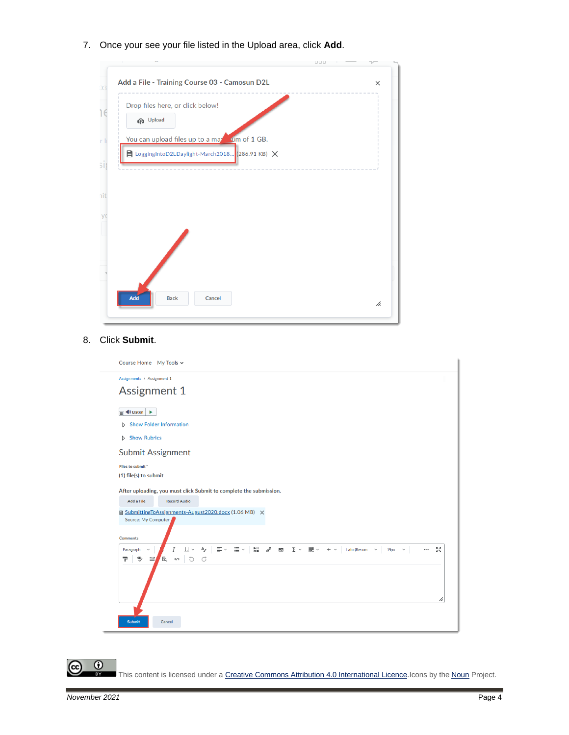7. Once your see your file listed in the Upload area, click **Add**.



#### 8. Click **Submit**.

|                | Course Home My Tools ~                                                                                                                                                                                                                                                                                                                                                                                                                                                                                                                                                                                                            |    |
|----------------|-----------------------------------------------------------------------------------------------------------------------------------------------------------------------------------------------------------------------------------------------------------------------------------------------------------------------------------------------------------------------------------------------------------------------------------------------------------------------------------------------------------------------------------------------------------------------------------------------------------------------------------|----|
|                | Assignments > Assignment 1                                                                                                                                                                                                                                                                                                                                                                                                                                                                                                                                                                                                        |    |
|                | <b>Assignment 1</b>                                                                                                                                                                                                                                                                                                                                                                                                                                                                                                                                                                                                               |    |
| $\blacksquare$ | $\blacktriangleright$ Listen<br>٠                                                                                                                                                                                                                                                                                                                                                                                                                                                                                                                                                                                                 |    |
|                | <b>Show Folder Information</b><br>D                                                                                                                                                                                                                                                                                                                                                                                                                                                                                                                                                                                               |    |
|                | <b>Show Rubrics</b><br>Þ                                                                                                                                                                                                                                                                                                                                                                                                                                                                                                                                                                                                          |    |
|                | <b>Submit Assignment</b>                                                                                                                                                                                                                                                                                                                                                                                                                                                                                                                                                                                                          |    |
|                | Files to submit*<br>(1) file(s) to submit                                                                                                                                                                                                                                                                                                                                                                                                                                                                                                                                                                                         |    |
|                | After uploading, you must click Submit to complete the submission.<br><b>Add a File</b><br><b>Record Audio</b>                                                                                                                                                                                                                                                                                                                                                                                                                                                                                                                    |    |
|                | ■ SubmittingToAssignments-August2020.docx (1.06 MB) ×<br>Source: My Computer                                                                                                                                                                                                                                                                                                                                                                                                                                                                                                                                                      |    |
|                | <b>Comments</b>                                                                                                                                                                                                                                                                                                                                                                                                                                                                                                                                                                                                                   |    |
|                | $\mathsf{A}_{\mathsf{Y}}\enspace\Big \enspace \Xi\,\vee\,\; \vert\Xi\,\vee\,\; \vert\enspace \mathsf{S}_{\mathsf{m}}^{\mathsf{N}}\quad\mathsf{A}_{\mathsf{p}}^{\mathsf{p}}\quad\mathsf{B}_{\mathsf{m}}^{\mathsf{p}}\quad\mathsf{B}_{\mathsf{m}}\quad\mathsf{Y}\enspace\vee\enspace\mathsf{B}_{\mathsf{m}}^{\mathsf{p}}\;\vee\enspace \; +\;\vee\enspace\Big \enspace \text{tato}\;(\text{Recomm.}\enspace \vee\enspace\big \enspace \text{19px}\ldots\;\vee\;\math$<br>$U$ $\sim$<br>5ă<br>I<br>$\cdots$<br>Paragraph<br>$\checkmark$<br>$E_{\rm Q}$<br>$\overline{C}$<br>୭<br>$\equiv$<br>$\mathbb{C}$<br>구<br>$\langle \rangle$ |    |
|                |                                                                                                                                                                                                                                                                                                                                                                                                                                                                                                                                                                                                                                   | h. |
|                | <b>Submit</b><br>Cancel                                                                                                                                                                                                                                                                                                                                                                                                                                                                                                                                                                                                           |    |

This content is licensed under [a Creative Commons Attribution 4.0 International Licence.I](https://creativecommons.org/licenses/by/4.0/)cons by the [Noun](https://creativecommons.org/website-icons/) Project.

 $\overline{6}$